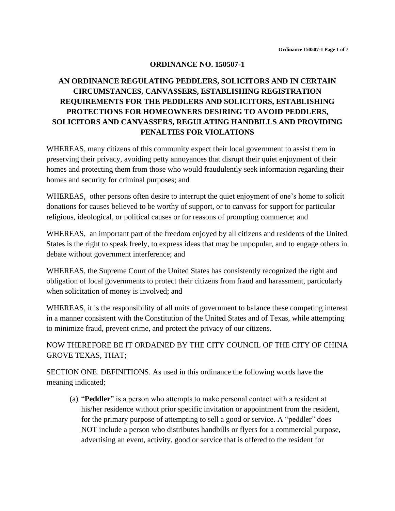#### **ORDINANCE NO. 150507-1**

# **AN ORDINANCE REGULATING PEDDLERS, SOLICITORS AND IN CERTAIN CIRCUMSTANCES, CANVASSERS, ESTABLISHING REGISTRATION REQUIREMENTS FOR THE PEDDLERS AND SOLICITORS, ESTABLISHING PROTECTIONS FOR HOMEOWNERS DESIRING TO AVOID PEDDLERS, SOLICITORS AND CANVASSERS, REGULATING HANDBILLS AND PROVIDING PENALTIES FOR VIOLATIONS**

WHEREAS, many citizens of this community expect their local government to assist them in preserving their privacy, avoiding petty annoyances that disrupt their quiet enjoyment of their homes and protecting them from those who would fraudulently seek information regarding their homes and security for criminal purposes; and

WHEREAS, other persons often desire to interrupt the quiet enjoyment of one's home to solicit donations for causes believed to be worthy of support, or to canvass for support for particular religious, ideological, or political causes or for reasons of prompting commerce; and

WHEREAS, an important part of the freedom enjoyed by all citizens and residents of the United States is the right to speak freely, to express ideas that may be unpopular, and to engage others in debate without government interference; and

WHEREAS, the Supreme Court of the United States has consistently recognized the right and obligation of local governments to protect their citizens from fraud and harassment, particularly when solicitation of money is involved; and

WHEREAS, it is the responsibility of all units of government to balance these competing interest in a manner consistent with the Constitution of the United States and of Texas, while attempting to minimize fraud, prevent crime, and protect the privacy of our citizens.

NOW THEREFORE BE IT ORDAINED BY THE CITY COUNCIL OF THE CITY OF CHINA GROVE TEXAS, THAT;

SECTION ONE. DEFINITIONS. As used in this ordinance the following words have the meaning indicated;

(a) "**Peddler**" is a person who attempts to make personal contact with a resident at his/her residence without prior specific invitation or appointment from the resident, for the primary purpose of attempting to sell a good or service. A "peddler" does NOT include a person who distributes handbills or flyers for a commercial purpose, advertising an event, activity, good or service that is offered to the resident for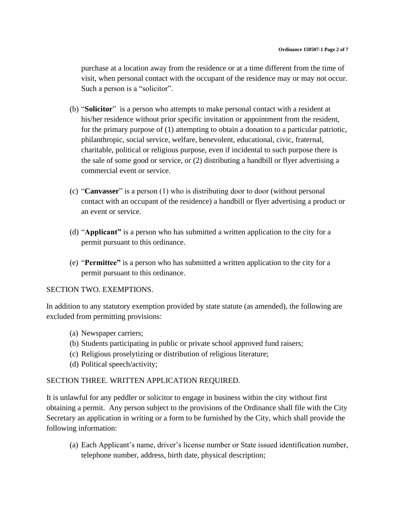purchase at a location away from the residence or at a time different from the time of visit, when personal contact with the occupant of the residence may or may not occur. Such a person is a "solicitor".

- (b) "**Solicitor**" is a person who attempts to make personal contact with a resident at his/her residence without prior specific invitation or appointment from the resident, for the primary purpose of (1) attempting to obtain a donation to a particular patriotic, philanthropic, social service, welfare, benevolent, educational, civic, fraternal, charitable, political or religious purpose, even if incidental to such purpose there is the sale of some good or service, or (2) distributing a handbill or flyer advertising a commercial event or service.
- (c) "**Canvasser**" is a person (1) who is distributing door to door (without personal contact with an occupant of the residence) a handbill or flyer advertising a product or an event or service.
- (d) "**Applicant"** is a person who has submitted a written application to the city for a permit pursuant to this ordinance.
- (e) "**Permittee"** is a person who has submitted a written application to the city for a permit pursuant to this ordinance.

#### SECTION TWO. EXEMPTIONS.

In addition to any statutory exemption provided by state statute (as amended), the following are excluded from permitting provisions:

- (a) Newspaper carriers;
- (b) Students participating in public or private school approved fund raisers;
- (c) Religious proselytizing or distribution of religious literature;
- (d) Political speech/activity;

#### SECTION THREE. WRITTEN APPLICATION REQUIRED.

It is unlawful for any peddler or solicitor to engage in business within the city without first obtaining a permit. Any person subject to the provisions of the Ordinance shall file with the City Secretary an application in writing or a form to be furnished by the City, which shall provide the following information:

(a) Each Applicant's name, driver's license number or State issued identification number, telephone number, address, birth date, physical description;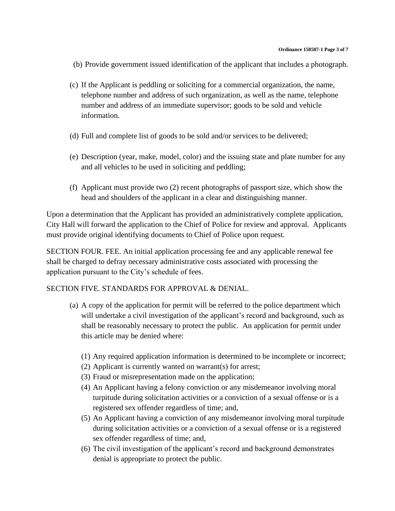- (b) Provide government issued identification of the applicant that includes a photograph.
- (c) If the Applicant is peddling or soliciting for a commercial organization, the name, telephone number and address of such organization, as well as the name, telephone number and address of an immediate supervisor; goods to be sold and vehicle information.
- (d) Full and complete list of goods to be sold and/or services to be delivered;
- (e) Description (year, make, model, color) and the issuing state and plate number for any and all vehicles to be used in soliciting and peddling;
- (f) Applicant must provide two (2) recent photographs of passport size, which show the head and shoulders of the applicant in a clear and distinguishing manner.

Upon a determination that the Applicant has provided an administratively complete application, City Hall will forward the application to the Chief of Police for review and approval. Applicants must provide original identifying documents to Chief of Police upon request.

SECTION FOUR. FEE. An initial application processing fee and any applicable renewal fee shall be charged to defray necessary administrative costs associated with processing the application pursuant to the City's schedule of fees.

## SECTION FIVE. STANDARDS FOR APPROVAL & DENIAL.

- (a) A copy of the application for permit will be referred to the police department which will undertake a civil investigation of the applicant's record and background, such as shall be reasonably necessary to protect the public. An application for permit under this article may be denied where:
	- (1) Any required application information is determined to be incomplete or incorrect;
	- (2) Applicant is currently wanted on warrant(s) for arrest;
	- (3) Fraud or misrepresentation made on the application;
	- (4) An Applicant having a felony conviction or any misdemeanor involving moral turpitude during solicitation activities or a conviction of a sexual offense or is a registered sex offender regardless of time; and,
	- (5) An Applicant having a conviction of any misdemeanor involving moral turpitude during solicitation activities or a conviction of a sexual offense or is a registered sex offender regardless of time; and,
	- (6) The civil investigation of the applicant's record and background demonstrates denial is appropriate to protect the public.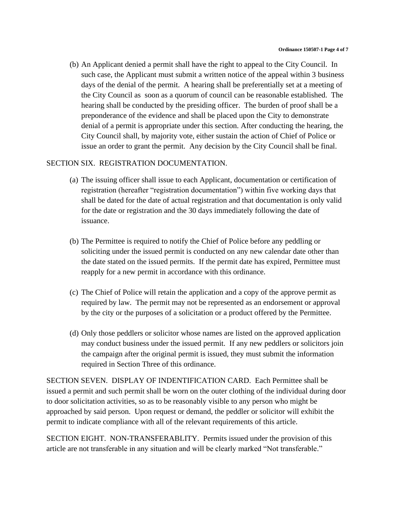(b) An Applicant denied a permit shall have the right to appeal to the City Council. In such case, the Applicant must submit a written notice of the appeal within 3 business days of the denial of the permit. A hearing shall be preferentially set at a meeting of the City Council as soon as a quorum of council can be reasonable established. The hearing shall be conducted by the presiding officer. The burden of proof shall be a preponderance of the evidence and shall be placed upon the City to demonstrate denial of a permit is appropriate under this section. After conducting the hearing, the City Council shall, by majority vote, either sustain the action of Chief of Police or issue an order to grant the permit. Any decision by the City Council shall be final.

### SECTION SIX. REGISTRATION DOCUMENTATION.

- (a) The issuing officer shall issue to each Applicant, documentation or certification of registration (hereafter "registration documentation") within five working days that shall be dated for the date of actual registration and that documentation is only valid for the date or registration and the 30 days immediately following the date of issuance.
- (b) The Permittee is required to notify the Chief of Police before any peddling or soliciting under the issued permit is conducted on any new calendar date other than the date stated on the issued permits. If the permit date has expired, Permittee must reapply for a new permit in accordance with this ordinance.
- (c) The Chief of Police will retain the application and a copy of the approve permit as required by law. The permit may not be represented as an endorsement or approval by the city or the purposes of a solicitation or a product offered by the Permittee.
- (d) Only those peddlers or solicitor whose names are listed on the approved application may conduct business under the issued permit. If any new peddlers or solicitors join the campaign after the original permit is issued, they must submit the information required in Section Three of this ordinance.

SECTION SEVEN. DISPLAY OF INDENTIFICATION CARD. Each Permittee shall be issued a permit and such permit shall be worn on the outer clothing of the individual during door to door solicitation activities, so as to be reasonably visible to any person who might be approached by said person. Upon request or demand, the peddler or solicitor will exhibit the permit to indicate compliance with all of the relevant requirements of this article.

SECTION EIGHT. NON-TRANSFERABLITY. Permits issued under the provision of this article are not transferable in any situation and will be clearly marked "Not transferable."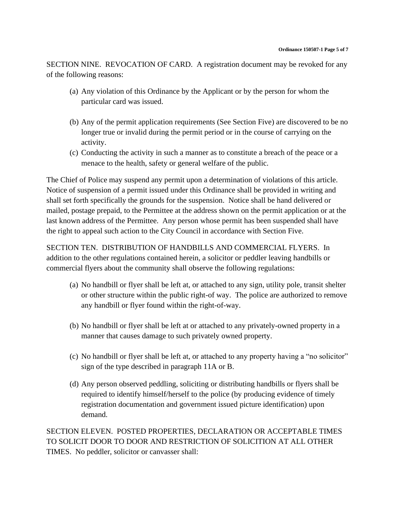SECTION NINE. REVOCATION OF CARD. A registration document may be revoked for any of the following reasons:

- (a) Any violation of this Ordinance by the Applicant or by the person for whom the particular card was issued.
- (b) Any of the permit application requirements (See Section Five) are discovered to be no longer true or invalid during the permit period or in the course of carrying on the activity.
- (c) Conducting the activity in such a manner as to constitute a breach of the peace or a menace to the health, safety or general welfare of the public.

The Chief of Police may suspend any permit upon a determination of violations of this article. Notice of suspension of a permit issued under this Ordinance shall be provided in writing and shall set forth specifically the grounds for the suspension. Notice shall be hand delivered or mailed, postage prepaid, to the Permittee at the address shown on the permit application or at the last known address of the Permittee. Any person whose permit has been suspended shall have the right to appeal such action to the City Council in accordance with Section Five.

SECTION TEN. DISTRIBUTION OF HANDBILLS AND COMMERCIAL FLYERS. In addition to the other regulations contained herein, a solicitor or peddler leaving handbills or commercial flyers about the community shall observe the following regulations:

- (a) No handbill or flyer shall be left at, or attached to any sign, utility pole, transit shelter or other structure within the public right-of way. The police are authorized to remove any handbill or flyer found within the right-of-way.
- (b) No handbill or flyer shall be left at or attached to any privately-owned property in a manner that causes damage to such privately owned property.
- (c) No handbill or flyer shall be left at, or attached to any property having a "no solicitor" sign of the type described in paragraph 11A or B.
- (d) Any person observed peddling, soliciting or distributing handbills or flyers shall be required to identify himself/herself to the police (by producing evidence of timely registration documentation and government issued picture identification) upon demand.

SECTION ELEVEN. POSTED PROPERTIES, DECLARATION OR ACCEPTABLE TIMES TO SOLICIT DOOR TO DOOR AND RESTRICTION OF SOLICITION AT ALL OTHER TIMES. No peddler, solicitor or canvasser shall: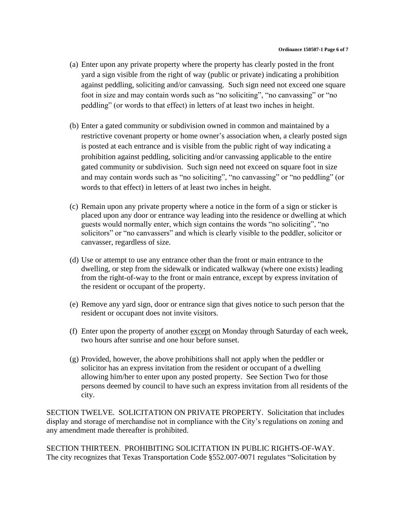- (a) Enter upon any private property where the property has clearly posted in the front yard a sign visible from the right of way (public or private) indicating a prohibition against peddling, soliciting and/or canvassing. Such sign need not exceed one square foot in size and may contain words such as "no soliciting", "no canvassing" or "no peddling" (or words to that effect) in letters of at least two inches in height.
- (b) Enter a gated community or subdivision owned in common and maintained by a restrictive covenant property or home owner's association when, a clearly posted sign is posted at each entrance and is visible from the public right of way indicating a prohibition against peddling, soliciting and/or canvassing applicable to the entire gated community or subdivision. Such sign need not exceed on square foot in size and may contain words such as "no soliciting", "no canvassing" or "no peddling" (or words to that effect) in letters of at least two inches in height.
- (c) Remain upon any private property where a notice in the form of a sign or sticker is placed upon any door or entrance way leading into the residence or dwelling at which guests would normally enter, which sign contains the words "no soliciting", "no solicitors" or "no canvassers" and which is clearly visible to the peddler, solicitor or canvasser, regardless of size.
- (d) Use or attempt to use any entrance other than the front or main entrance to the dwelling, or step from the sidewalk or indicated walkway (where one exists) leading from the right-of-way to the front or main entrance, except by express invitation of the resident or occupant of the property.
- (e) Remove any yard sign, door or entrance sign that gives notice to such person that the resident or occupant does not invite visitors.
- (f) Enter upon the property of another except on Monday through Saturday of each week, two hours after sunrise and one hour before sunset.
- (g) Provided, however, the above prohibitions shall not apply when the peddler or solicitor has an express invitation from the resident or occupant of a dwelling allowing him/her to enter upon any posted property. See Section Two for those persons deemed by council to have such an express invitation from all residents of the city.

SECTION TWELVE. SOLICITATION ON PRIVATE PROPERTY. Solicitation that includes display and storage of merchandise not in compliance with the City's regulations on zoning and any amendment made thereafter is prohibited.

SECTION THIRTEEN. PROHIBITING SOLICITATION IN PUBLIC RIGHTS-OF-WAY. The city recognizes that Texas Transportation Code §552.007-0071 regulates "Solicitation by